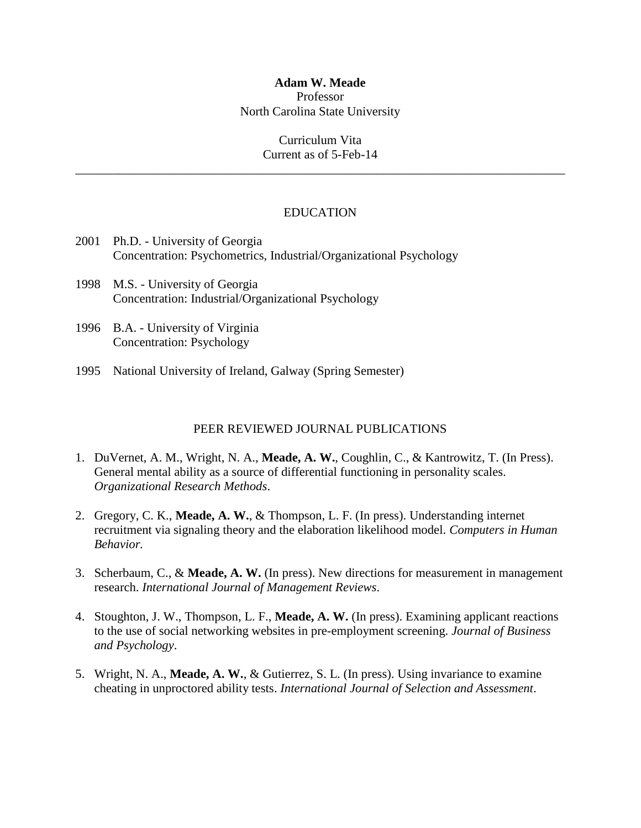## **Adam W. Meade** Professor

North Carolina State University

Curriculum Vita Current as of 5-Feb-14

\_\_\_\_\_\_\_\_\_\_\_\_\_\_\_\_\_\_\_\_\_\_\_\_\_\_\_\_\_\_\_\_\_\_\_\_\_\_\_\_\_\_\_\_\_\_\_\_\_\_\_\_\_\_\_\_\_\_\_\_\_\_\_\_\_\_\_\_\_\_\_\_\_\_\_\_\_\_

# EDUCATION

- 2001 Ph.D. University of Georgia Concentration: Psychometrics, Industrial/Organizational Psychology
- 1998 M.S. University of Georgia Concentration: Industrial/Organizational Psychology
- 1996 B.A. University of Virginia Concentration: Psychology
- 1995 National University of Ireland, Galway (Spring Semester)

## PEER REVIEWED JOURNAL PUBLICATIONS

- 1. DuVernet, A. M., Wright, N. A., **Meade, A. W.**, Coughlin, C., & Kantrowitz, T. (In Press). General mental ability as a source of differential functioning in personality scales. *Organizational Research Methods*.
- 2. Gregory, C. K., **Meade, A. W.**, & Thompson, L. F. (In press). Understanding internet recruitment via signaling theory and the elaboration likelihood model. *Computers in Human Behavior.*
- 3. Scherbaum, C., & **Meade, A. W.** (In press). New directions for measurement in management research. *International Journal of Management Reviews*.
- 4. Stoughton, J. W., Thompson, L. F., **Meade, A. W.** (In press). Examining applicant reactions to the use of social networking websites in pre-employment screening. *Journal of Business and Psychology*.
- 5. Wright, N. A., **Meade, A. W.**, & Gutierrez, S. L. (In press). Using invariance to examine cheating in unproctored ability tests. *International Journal of Selection and Assessment*.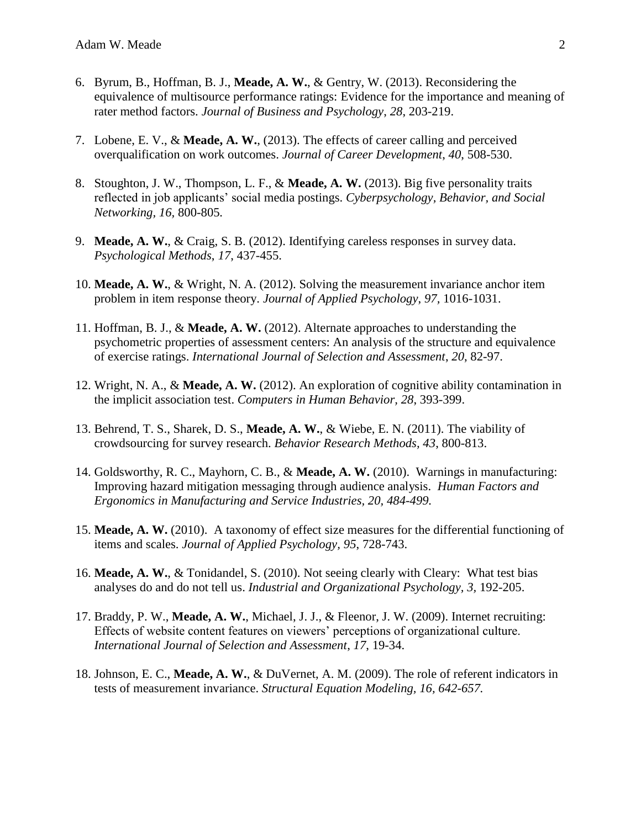- 6. Byrum, B., Hoffman, B. J., **Meade, A. W.**, & Gentry, W. (2013). Reconsidering the equivalence of multisource performance ratings: Evidence for the importance and meaning of rater method factors. *Journal of Business and Psychology*, *28*, 203-219.
- 7. Lobene, E. V., & **Meade, A. W.**, (2013). The effects of career calling and perceived overqualification on work outcomes. *Journal of Career Development*, *40*, 508-530.
- 8. Stoughton, J. W., Thompson, L. F., & **Meade, A. W.** (2013). Big five personality traits reflected in job applicants' social media postings. *Cyberpsychology, Behavior, and Social Networking, 16,* 800-805*.*
- 9. **Meade, A. W.**, & Craig, S. B. (2012). Identifying careless responses in survey data. *Psychological Methods*, *17*, 437-455.
- 10. **Meade, A. W.**, & Wright, N. A. (2012). Solving the measurement invariance anchor item problem in item response theory. *Journal of Applied Psychology*, *97,* 1016-1031.
- 11. Hoffman, B. J., & **Meade, A. W.** (2012). Alternate approaches to understanding the psychometric properties of assessment centers: An analysis of the structure and equivalence of exercise ratings. *International Journal of Selection and Assessment*, *20*, 82-97.
- 12. Wright, N. A., & **Meade, A. W.** (2012). An exploration of cognitive ability contamination in the implicit association test. *Computers in Human Behavior, 28*, 393-399.
- 13. Behrend, T. S., Sharek, D. S., **Meade, A. W.**, & Wiebe, E. N. (2011). The viability of crowdsourcing for survey research. *Behavior Research Methods, 43*, 800-813.
- 14. Goldsworthy, R. C., Mayhorn, C. B., & **Meade, A. W.** (2010). Warnings in manufacturing: Improving hazard mitigation messaging through audience analysis. *Human Factors and Ergonomics in Manufacturing and Service Industries, 20, 484-499.*
- 15. **Meade, A. W.** (2010). A taxonomy of effect size measures for the differential functioning of items and scales. *Journal of Applied Psychology, 95*, 728-743.
- 16. **Meade, A. W.**, & Tonidandel, S. (2010). Not seeing clearly with Cleary: What test bias analyses do and do not tell us. *Industrial and Organizational Psychology, 3,* 192-205.
- 17. Braddy, P. W., **Meade, A. W.**, Michael, J. J., & Fleenor, J. W. (2009). Internet recruiting: Effects of website content features on viewers' perceptions of organizational culture. *International Journal of Selection and Assessment*, *17*, 19-34.
- 18. Johnson, E. C., **Meade, A. W.**, & DuVernet, A. M. (2009). The role of referent indicators in tests of measurement invariance. *Structural Equation Modeling, 16, 642-657.*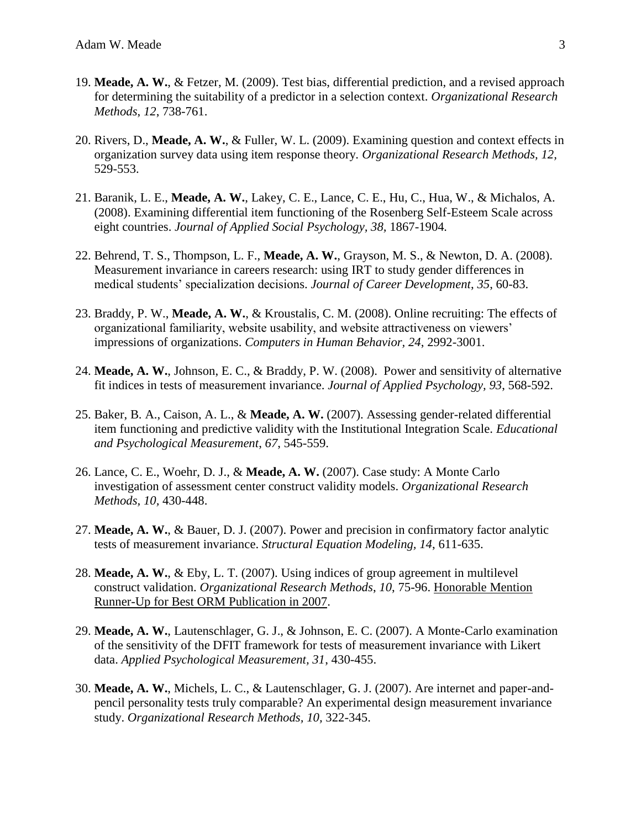- 19. **Meade, A. W.**, & Fetzer, M. (2009). Test bias, differential prediction, and a revised approach for determining the suitability of a predictor in a selection context. *Organizational Research Methods*, *12*, 738-761.
- 20. Rivers, D., **Meade, A. W.**, & Fuller, W. L. (2009). Examining question and context effects in organization survey data using item response theory. *Organizational Research Methods, 12,*  529-553.
- 21. Baranik, L. E., **Meade, A. W.**, Lakey, C. E., Lance, C. E., Hu, C., Hua, W., & Michalos, A. (2008). Examining differential item functioning of the Rosenberg Self-Esteem Scale across eight countries. *Journal of Applied Social Psychology, 38,* 1867-1904*.*
- 22. Behrend, T. S., Thompson, L. F., **Meade, A. W.**, Grayson, M. S., & Newton, D. A. (2008). Measurement invariance in careers research: using IRT to study gender differences in medical students' specialization decisions. *Journal of Career Development*, *35*, 60-83.
- 23. Braddy, P. W., **Meade, A. W.**, & Kroustalis, C. M. (2008). Online recruiting: The effects of organizational familiarity, website usability, and website attractiveness on viewers' impressions of organizations. *Computers in Human Behavior, 24*, 2992-3001.
- 24. **Meade, A. W.**, Johnson, E. C., & Braddy, P. W. (2008). Power and sensitivity of alternative fit indices in tests of measurement invariance. *Journal of Applied Psychology, 93*, 568-592.
- 25. Baker, B. A., Caison, A. L., & **Meade, A. W.** (2007). Assessing gender-related differential item functioning and predictive validity with the Institutional Integration Scale. *Educational and Psychological Measurement*, *67*, 545-559.
- 26. Lance, C. E., Woehr, D. J., & **Meade, A. W.** (2007). Case study: A Monte Carlo investigation of assessment center construct validity models. *Organizational Research Methods, 10,* 430-448.
- 27. **Meade, A. W.**, & Bauer, D. J. (2007). Power and precision in confirmatory factor analytic tests of measurement invariance. *Structural Equation Modeling, 14*, 611-635.
- 28. **Meade, A. W.**, & Eby, L. T. (2007). Using indices of group agreement in multilevel construct validation. *Organizational Research Methods*, *10*, 75-96. Honorable Mention Runner-Up for Best ORM Publication in 2007.
- 29. **Meade, A. W.**, Lautenschlager, G. J., & Johnson, E. C. (2007). A Monte-Carlo examination of the sensitivity of the DFIT framework for tests of measurement invariance with Likert data. *Applied Psychological Measurement, 31*, 430-455.
- 30. **Meade, A. W.**, Michels, L. C., & Lautenschlager, G. J. (2007). Are internet and paper-andpencil personality tests truly comparable? An experimental design measurement invariance study. *Organizational Research Methods, 10,* 322-345.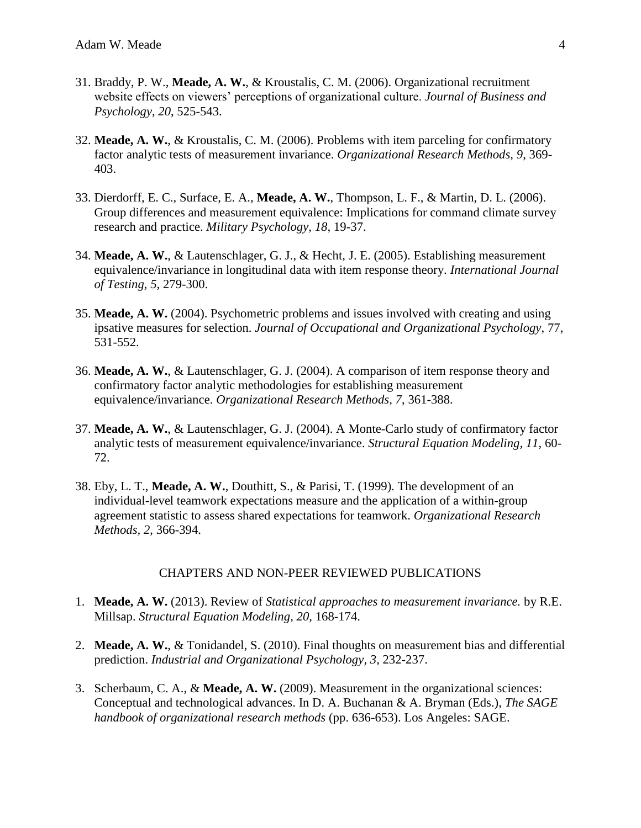- 31. Braddy, P. W., **Meade, A. W.**, & Kroustalis, C. M. (2006). Organizational recruitment website effects on viewers' perceptions of organizational culture. *Journal of Business and Psychology*, *20*, 525-543.
- 32. **Meade, A. W.**, & Kroustalis, C. M. (2006). Problems with item parceling for confirmatory factor analytic tests of measurement invariance. *Organizational Research Methods, 9*, 369- 403.
- 33. Dierdorff, E. C., Surface, E. A., **Meade, A. W.**, Thompson, L. F., & Martin, D. L. (2006). Group differences and measurement equivalence: Implications for command climate survey research and practice. *Military Psychology, 18*, 19-37.
- 34. **Meade, A. W.**, & Lautenschlager, G. J., & Hecht, J. E. (2005). Establishing measurement equivalence/invariance in longitudinal data with item response theory. *International Journal of Testing, 5*, 279-300.
- 35. **Meade, A. W.** (2004). Psychometric problems and issues involved with creating and using ipsative measures for selection. *Journal of Occupational and Organizational Psychology*, 77, 531-552.
- 36. **Meade, A. W.**, & Lautenschlager, G. J. (2004). A comparison of item response theory and confirmatory factor analytic methodologies for establishing measurement equivalence/invariance. *Organizational Research Methods, 7*, 361-388.
- 37. **Meade, A. W.**, & Lautenschlager, G. J. (2004). A Monte-Carlo study of confirmatory factor analytic tests of measurement equivalence/invariance. *Structural Equation Modeling, 11*, 60- 72.
- 38. Eby, L. T., **Meade, A. W.**, Douthitt, S., & Parisi, T. (1999). The development of an individual-level teamwork expectations measure and the application of a within-group agreement statistic to assess shared expectations for teamwork. *Organizational Research Methods, 2*, 366-394.

## CHAPTERS AND NON-PEER REVIEWED PUBLICATIONS

- 1. **Meade, A. W.** (2013). Review of *Statistical approaches to measurement invariance.* by R.E. Millsap. *Structural Equation Modeling, 20*, 168-174.
- 2. **Meade, A. W.**, & Tonidandel, S. (2010). Final thoughts on measurement bias and differential prediction. *Industrial and Organizational Psychology, 3,* 232-237.
- 3. Scherbaum, C. A., & **Meade, A. W.** (2009). Measurement in the organizational sciences: Conceptual and technological advances. In D. A. Buchanan & A. Bryman (Eds.), *The SAGE handbook of organizational research methods* (pp. 636-653). Los Angeles: SAGE.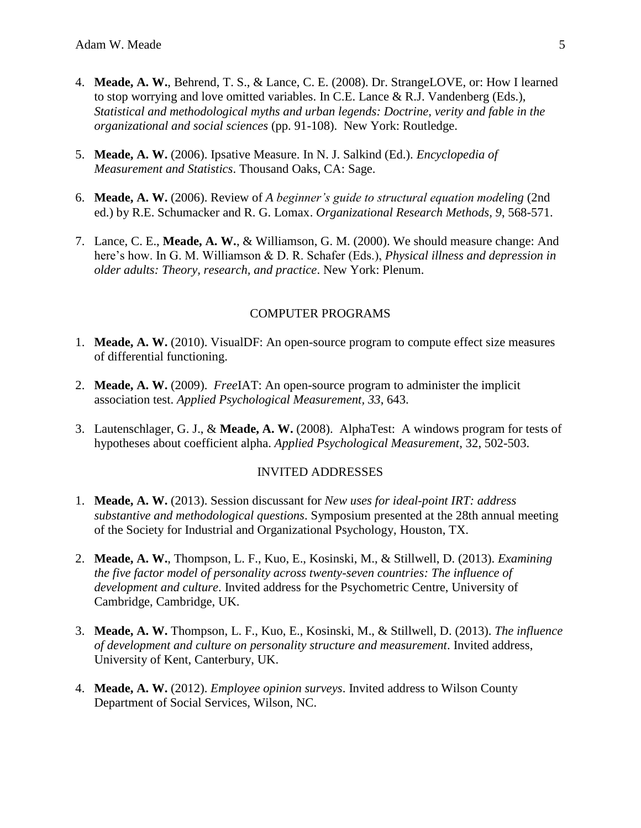- 4. **Meade, A. W.**, Behrend, T. S., & Lance, C. E. (2008). Dr. StrangeLOVE, or: How I learned to stop worrying and love omitted variables. In C.E. Lance & R.J. Vandenberg (Eds.), *Statistical and methodological myths and urban legends: Doctrine, verity and fable in the organizational and social sciences* (pp. 91-108). New York: Routledge.
- 5. **Meade, A. W.** (2006). Ipsative Measure. In N. J. Salkind (Ed.). *Encyclopedia of Measurement and Statistics*. Thousand Oaks, CA: Sage.
- 6. **Meade, A. W.** (2006). Review of *A beginner's guide to structural equation modeling* (2nd ed.) by R.E. Schumacker and R. G. Lomax. *Organizational Research Methods, 9*, 568-571.
- 7. Lance, C. E., **Meade, A. W.**, & Williamson, G. M. (2000). We should measure change: And here's how. In G. M. Williamson & D. R. Schafer (Eds.), *Physical illness and depression in older adults: Theory, research, and practice*. New York: Plenum.

## COMPUTER PROGRAMS

- 1. **Meade, A. W.** (2010). VisualDF: An open-source program to compute effect size measures of differential functioning.
- 2. **Meade, A. W.** (2009). *Free*IAT: An open-source program to administer the implicit association test. *Applied Psychological Measurement, 33*, 643.
- 3. Lautenschlager, G. J., & **Meade, A. W.** (2008). AlphaTest: A windows program for tests of hypotheses about coefficient alpha. *Applied Psychological Measurement*, 32, 502-503.

## INVITED ADDRESSES

- 1. **Meade, A. W.** (2013). Session discussant for *New uses for ideal-point IRT: address substantive and methodological questions*. Symposium presented at the 28th annual meeting of the Society for Industrial and Organizational Psychology, Houston, TX.
- 2. **Meade, A. W.**, Thompson, L. F., Kuo, E., Kosinski, M., & Stillwell, D. (2013). *Examining the five factor model of personality across twenty-seven countries: The influence of development and culture*. Invited address for the Psychometric Centre, University of Cambridge, Cambridge, UK.
- 3. **Meade, A. W.** Thompson, L. F., Kuo, E., Kosinski, M., & Stillwell, D. (2013). *The influence of development and culture on personality structure and measurement*. Invited address, University of Kent, Canterbury, UK.
- 4. **Meade, A. W.** (2012). *Employee opinion surveys*. Invited address to Wilson County Department of Social Services, Wilson, NC.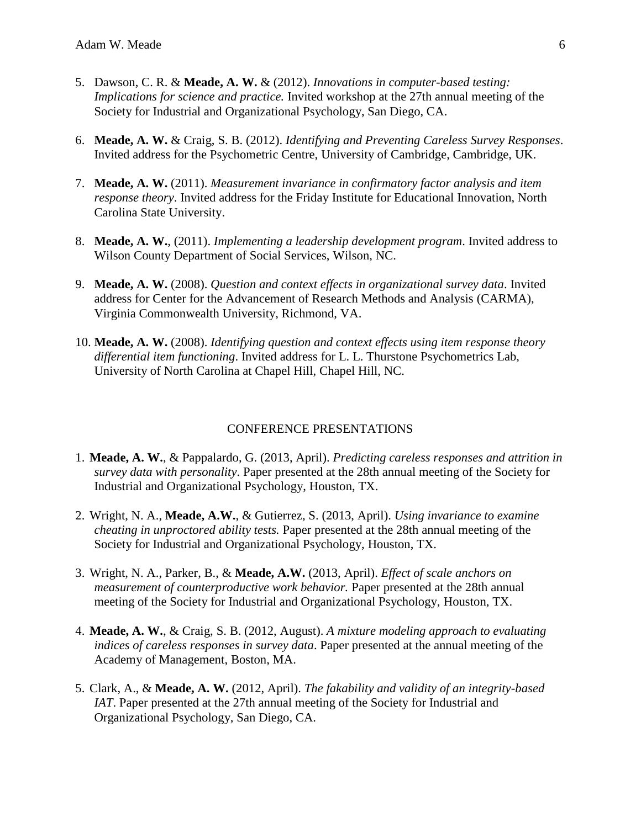- 5. Dawson, C. R. & **Meade, A. W.** & (2012). *Innovations in computer-based testing: Implications for science and practice.* Invited workshop at the 27th annual meeting of the Society for Industrial and Organizational Psychology, San Diego, CA.
- 6. **Meade, A. W.** & Craig, S. B. (2012). *Identifying and Preventing Careless Survey Responses*. Invited address for the Psychometric Centre, University of Cambridge, Cambridge, UK.
- 7. **Meade, A. W.** (2011). *Measurement invariance in confirmatory factor analysis and item response theory*. Invited address for the Friday Institute for Educational Innovation, North Carolina State University.
- 8. **Meade, A. W.**, (2011). *Implementing a leadership development program*. Invited address to Wilson County Department of Social Services, Wilson, NC.
- 9. **Meade, A. W.** (2008). *Question and context effects in organizational survey data*. Invited address for Center for the Advancement of Research Methods and Analysis (CARMA), Virginia Commonwealth University, Richmond, VA.
- 10. **Meade, A. W.** (2008). *Identifying question and context effects using item response theory differential item functioning*. Invited address for L. L. Thurstone Psychometrics Lab, University of North Carolina at Chapel Hill, Chapel Hill, NC.

## CONFERENCE PRESENTATIONS

- 1. **Meade, A. W.**, & Pappalardo, G. (2013, April). *Predicting careless responses and attrition in survey data with personality*. Paper presented at the 28th annual meeting of the Society for Industrial and Organizational Psychology, Houston, TX.
- 2. Wright, N. A., **Meade, A.W.**, & Gutierrez, S. (2013, April). *Using invariance to examine cheating in unproctored ability tests.* Paper presented at the 28th annual meeting of the Society for Industrial and Organizational Psychology, Houston, TX.
- 3. Wright, N. A., Parker, B., & **Meade, A.W.** (2013, April). *Effect of scale anchors on measurement of counterproductive work behavior.* Paper presented at the 28th annual meeting of the Society for Industrial and Organizational Psychology, Houston, TX.
- 4. **Meade, A. W.**, & Craig, S. B. (2012, August). *A mixture modeling approach to evaluating indices of careless responses in survey data*. Paper presented at the annual meeting of the Academy of Management, Boston, MA.
- 5. Clark, A., & **Meade, A. W.** (2012, April). *The fakability and validity of an integrity-based IAT*. Paper presented at the 27th annual meeting of the Society for Industrial and Organizational Psychology, San Diego, CA.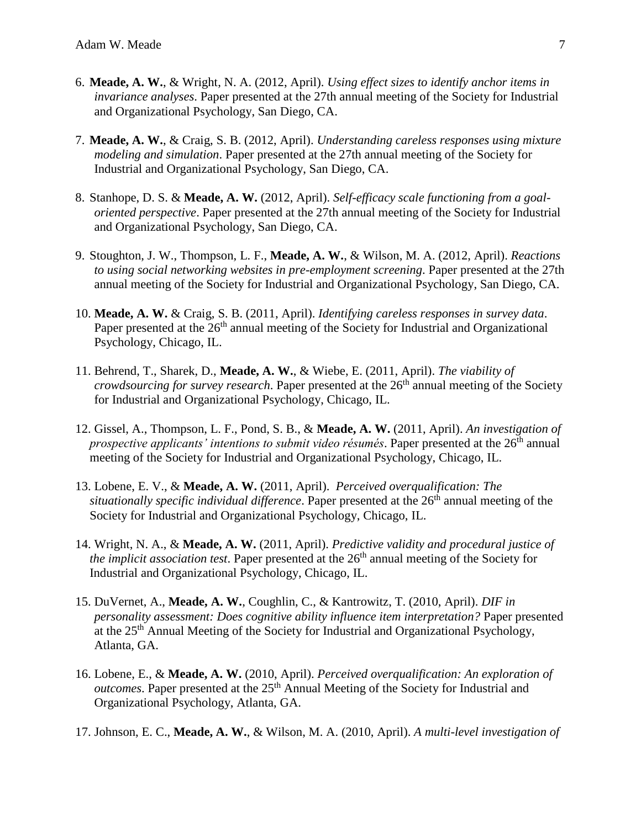- 6. **Meade, A. W.**, & Wright, N. A. (2012, April). *Using effect sizes to identify anchor items in invariance analyses*. Paper presented at the 27th annual meeting of the Society for Industrial and Organizational Psychology, San Diego, CA.
- 7. **Meade, A. W.**, & Craig, S. B. (2012, April). *Understanding careless responses using mixture modeling and simulation*. Paper presented at the 27th annual meeting of the Society for Industrial and Organizational Psychology, San Diego, CA.
- 8. Stanhope, D. S. & **Meade, A. W.** (2012, April). *Self-efficacy scale functioning from a goaloriented perspective*. Paper presented at the 27th annual meeting of the Society for Industrial and Organizational Psychology, San Diego, CA.
- 9. Stoughton, J. W., Thompson, L. F., **Meade, A. W.**, & Wilson, M. A. (2012, April). *Reactions to using social networking websites in pre-employment screening*. Paper presented at the 27th annual meeting of the Society for Industrial and Organizational Psychology, San Diego, CA.
- 10. **Meade, A. W.** & Craig, S. B. (2011, April). *Identifying careless responses in survey data*. Paper presented at the  $26<sup>th</sup>$  annual meeting of the Society for Industrial and Organizational Psychology, Chicago, IL.
- 11. Behrend, T., Sharek, D., **Meade, A. W.**, & Wiebe, E. (2011, April). *The viability of crowdsourcing for survey research*. Paper presented at the 26<sup>th</sup> annual meeting of the Society for Industrial and Organizational Psychology, Chicago, IL.
- 12. Gissel, A., Thompson, L. F., Pond, S. B., & **Meade, A. W.** (2011, April). *An investigation of prospective applicants' intentions to submit video résumés.* Paper presented at the 26<sup>th</sup> annual meeting of the Society for Industrial and Organizational Psychology, Chicago, IL.
- 13. Lobene, E. V., & **Meade, A. W.** (2011, April). *Perceived overqualification: The situationally specific individual difference*. Paper presented at the 26<sup>th</sup> annual meeting of the Society for Industrial and Organizational Psychology, Chicago, IL.
- 14. Wright, N. A., & **Meade, A. W.** (2011, April). *Predictive validity and procedural justice of the implicit association test.* Paper presented at the 26<sup>th</sup> annual meeting of the Society for Industrial and Organizational Psychology, Chicago, IL.
- 15. DuVernet, A., **Meade, A. W.**, Coughlin, C., & Kantrowitz, T. (2010, April). *DIF in personality assessment: Does cognitive ability influence item interpretation?* Paper presented at the 25<sup>th</sup> Annual Meeting of the Society for Industrial and Organizational Psychology, Atlanta, GA.
- 16. Lobene, E., & **Meade, A. W.** (2010, April). *Perceived overqualification: An exploration of outcomes*. Paper presented at the 25<sup>th</sup> Annual Meeting of the Society for Industrial and Organizational Psychology, Atlanta, GA.
- 17. Johnson, E. C., **Meade, A. W.**, & Wilson, M. A. (2010, April). *A multi-level investigation of*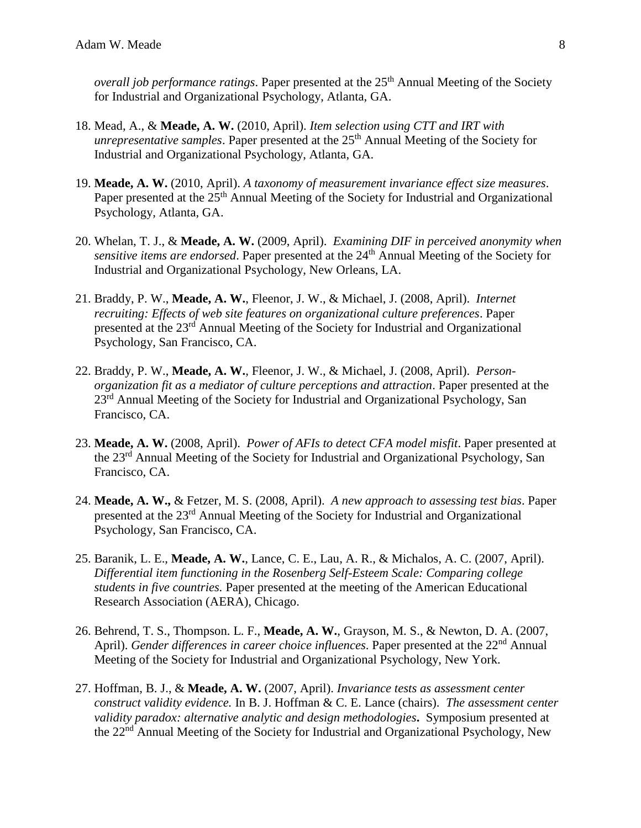*overall job performance ratings*. Paper presented at the 25<sup>th</sup> Annual Meeting of the Society for Industrial and Organizational Psychology, Atlanta, GA.

- 18. Mead, A., & **Meade, A. W.** (2010, April). *Item selection using CTT and IRT with unrepresentative samples*. Paper presented at the 25<sup>th</sup> Annual Meeting of the Society for Industrial and Organizational Psychology, Atlanta, GA.
- 19. **Meade, A. W.** (2010, April). *A taxonomy of measurement invariance effect size measures*. Paper presented at the 25<sup>th</sup> Annual Meeting of the Society for Industrial and Organizational Psychology, Atlanta, GA.
- 20. Whelan, T. J., & **Meade, A. W.** (2009, April). *Examining DIF in perceived anonymity when sensitive items are endorsed.* Paper presented at the 24<sup>th</sup> Annual Meeting of the Society for Industrial and Organizational Psychology, New Orleans, LA.
- 21. Braddy, P. W., **Meade, A. W.**, Fleenor, J. W., & Michael, J. (2008, April). *Internet recruiting: Effects of web site features on organizational culture preferences*. Paper presented at the 23rd Annual Meeting of the Society for Industrial and Organizational Psychology, San Francisco, CA.
- 22. Braddy, P. W., **Meade, A. W.**, Fleenor, J. W., & Michael, J. (2008, April). *Personorganization fit as a mediator of culture perceptions and attraction*. Paper presented at the 23<sup>rd</sup> Annual Meeting of the Society for Industrial and Organizational Psychology, San Francisco, CA.
- 23. **Meade, A. W.** (2008, April). *Power of AFIs to detect CFA model misfit*. Paper presented at the 23<sup>rd</sup> Annual Meeting of the Society for Industrial and Organizational Psychology, San Francisco, CA.
- 24. **Meade, A. W.,** & Fetzer, M. S. (2008, April). *A new approach to assessing test bias*. Paper presented at the 23rd Annual Meeting of the Society for Industrial and Organizational Psychology, San Francisco, CA.
- 25. Baranik, L. E., **Meade, A. W.**, Lance, C. E., Lau, A. R., & Michalos, A. C. (2007, April). *Differential item functioning in the Rosenberg Self-Esteem Scale: Comparing college students in five countries.* Paper presented at the meeting of the American Educational Research Association (AERA), Chicago.
- 26. Behrend, T. S., Thompson. L. F., **Meade, A. W.**, Grayson, M. S., & Newton, D. A. (2007, April). *Gender differences in career choice influences*. Paper presented at the 22<sup>nd</sup> Annual Meeting of the Society for Industrial and Organizational Psychology, New York.
- 27. Hoffman, B. J., & **Meade, A. W.** (2007, April). *Invariance tests as assessment center construct validity evidence.* In B. J. Hoffman & C. E. Lance (chairs). *The assessment center validity paradox: alternative analytic and design methodologies***.** Symposium presented at the 22nd Annual Meeting of the Society for Industrial and Organizational Psychology, New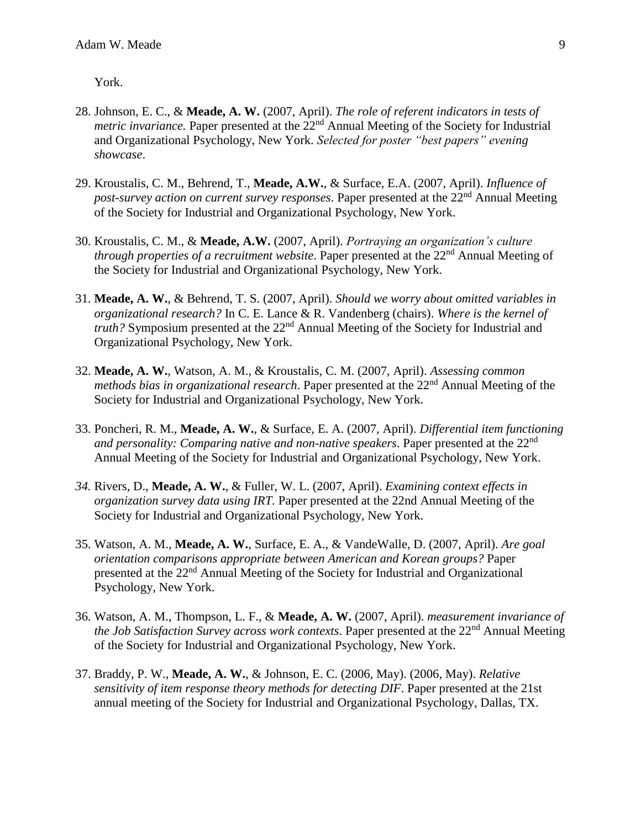York.

- 28. Johnson, E. C., & **Meade, A. W.** (2007, April). *The role of referent indicators in tests of metric invariance.* Paper presented at the 22<sup>nd</sup> Annual Meeting of the Society for Industrial and Organizational Psychology, New York. *Selected for poster "best papers" evening showcase*.
- 29. Kroustalis, C. M., Behrend, T., **Meade, A.W.**, & Surface, E.A. (2007, April). *Influence of post-survey action on current survey responses.* Paper presented at the 22<sup>nd</sup> Annual Meeting of the Society for Industrial and Organizational Psychology, New York.
- 30. Kroustalis, C. M., & **Meade, A.W.** (2007, April). *Portraying an organization's culture through properties of a recruitment website.* Paper presented at the 22<sup>nd</sup> Annual Meeting of the Society for Industrial and Organizational Psychology, New York.
- 31. **Meade, A. W.**, & Behrend, T. S. (2007, April). *Should we worry about omitted variables in organizational research?* In C. E. Lance & R. Vandenberg (chairs). *Where is the kernel of truth*? Symposium presented at the 22<sup>nd</sup> Annual Meeting of the Society for Industrial and Organizational Psychology, New York.
- 32. **Meade, A. W.**, Watson, A. M., & Kroustalis, C. M. (2007, April). *Assessing common methods bias in organizational research*. Paper presented at the 22<sup>nd</sup> Annual Meeting of the Society for Industrial and Organizational Psychology, New York.
- 33. Poncheri, R. M., **Meade, A. W.**, & Surface, E. A. (2007, April). *Differential item functioning and personality: Comparing native and non-native speakers*. Paper presented at the 22nd Annual Meeting of the Society for Industrial and Organizational Psychology, New York.
- *34.* Rivers, D., **Meade, A. W.**, & Fuller, W. L. (2007, April). *Examining context effects in organization survey data using IRT.* Paper presented at the 22nd Annual Meeting of the Society for Industrial and Organizational Psychology, New York.
- 35. Watson, A. M., **Meade, A. W.**, Surface, E. A., & VandeWalle, D. (2007, April). *Are goal orientation comparisons appropriate between American and Korean groups?* Paper presented at the 22nd Annual Meeting of the Society for Industrial and Organizational Psychology, New York.
- 36. Watson, A. M., Thompson, L. F., & **Meade, A. W.** (2007, April). *measurement invariance of the Job Satisfaction Survey across work contexts.* Paper presented at the 22<sup>nd</sup> Annual Meeting of the Society for Industrial and Organizational Psychology, New York.
- 37. Braddy, P. W., **Meade, A. W.**, & Johnson, E. C. (2006, May). (2006, May). *Relative sensitivity of item response theory methods for detecting DIF*. Paper presented at the 21st annual meeting of the Society for Industrial and Organizational Psychology, Dallas, TX.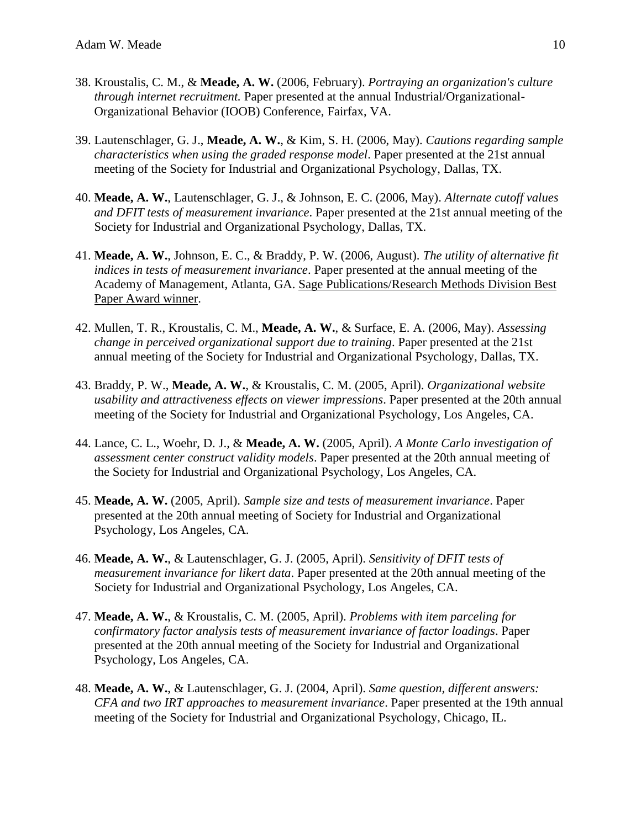- 38. Kroustalis, C. M., & **Meade, A. W.** (2006, February). *Portraying an organization's culture through internet recruitment.* Paper presented at the annual Industrial/Organizational-Organizational Behavior (IOOB) Conference, Fairfax, VA.
- 39. Lautenschlager, G. J., **Meade, A. W.**, & Kim, S. H. (2006, May). *Cautions regarding sample characteristics when using the graded response model*. Paper presented at the 21st annual meeting of the Society for Industrial and Organizational Psychology, Dallas, TX.
- 40. **Meade, A. W.**, Lautenschlager, G. J., & Johnson, E. C. (2006, May). *Alternate cutoff values and DFIT tests of measurement invariance*. Paper presented at the 21st annual meeting of the Society for Industrial and Organizational Psychology, Dallas, TX.
- 41. **Meade, A. W.**, Johnson, E. C., & Braddy, P. W. (2006, August). *The utility of alternative fit indices in tests of measurement invariance*. Paper presented at the annual meeting of the Academy of Management, Atlanta, GA. Sage Publications/Research Methods Division Best Paper Award winner.
- 42. Mullen, T. R., Kroustalis, C. M., **Meade, A. W.**, & Surface, E. A. (2006, May). *Assessing change in perceived organizational support due to training*. Paper presented at the 21st annual meeting of the Society for Industrial and Organizational Psychology, Dallas, TX.
- 43. Braddy, P. W., **Meade, A. W.**, & Kroustalis, C. M. (2005, April). *Organizational website usability and attractiveness effects on viewer impressions*. Paper presented at the 20th annual meeting of the Society for Industrial and Organizational Psychology, Los Angeles, CA.
- 44. Lance, C. L., Woehr, D. J., & **Meade, A. W.** (2005, April). *A Monte Carlo investigation of assessment center construct validity models*. Paper presented at the 20th annual meeting of the Society for Industrial and Organizational Psychology, Los Angeles, CA.
- 45. **Meade, A. W.** (2005, April). *Sample size and tests of measurement invariance*. Paper presented at the 20th annual meeting of Society for Industrial and Organizational Psychology, Los Angeles, CA.
- 46. **Meade, A. W.**, & Lautenschlager, G. J. (2005, April). *Sensitivity of DFIT tests of measurement invariance for likert data*. Paper presented at the 20th annual meeting of the Society for Industrial and Organizational Psychology, Los Angeles, CA.
- 47. **Meade, A. W.**, & Kroustalis, C. M. (2005, April). *Problems with item parceling for confirmatory factor analysis tests of measurement invariance of factor loadings*. Paper presented at the 20th annual meeting of the Society for Industrial and Organizational Psychology, Los Angeles, CA.
- 48. **Meade, A. W.**, & Lautenschlager, G. J. (2004, April). *Same question, different answers: CFA and two IRT approaches to measurement invariance*. Paper presented at the 19th annual meeting of the Society for Industrial and Organizational Psychology, Chicago, IL.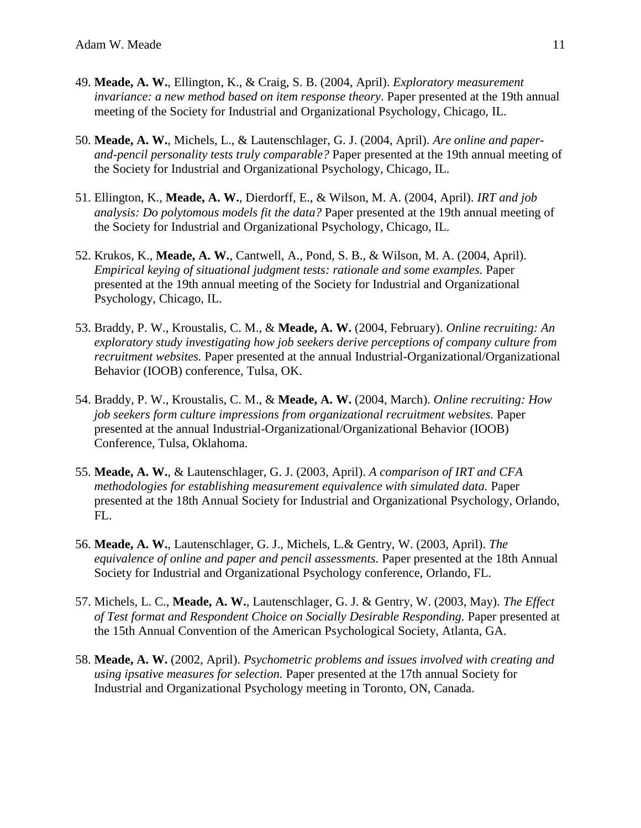- 49. **Meade, A. W.**, Ellington, K., & Craig, S. B. (2004, April). *Exploratory measurement invariance: a new method based on item response theory*. Paper presented at the 19th annual meeting of the Society for Industrial and Organizational Psychology, Chicago, IL.
- 50. **Meade, A. W.**, Michels, L., & Lautenschlager, G. J. (2004, April). *Are online and paperand-pencil personality tests truly comparable?* Paper presented at the 19th annual meeting of the Society for Industrial and Organizational Psychology, Chicago, IL.
- 51. Ellington, K., **Meade, A. W.**, Dierdorff, E., & Wilson, M. A. (2004, April). *IRT and job analysis: Do polytomous models fit the data?* Paper presented at the 19th annual meeting of the Society for Industrial and Organizational Psychology, Chicago, IL.
- 52. Krukos, K., **Meade, A. W.**, Cantwell, A., Pond, S. B., & Wilson, M. A. (2004, April). *Empirical keying of situational judgment tests: rationale and some examples.* Paper presented at the 19th annual meeting of the Society for Industrial and Organizational Psychology, Chicago, IL.
- 53. Braddy, P. W., Kroustalis, C. M., & **Meade, A. W.** (2004, February). *Online recruiting: An exploratory study investigating how job seekers derive perceptions of company culture from recruitment websites.* Paper presented at the annual Industrial-Organizational/Organizational Behavior (IOOB) conference, Tulsa, OK.
- 54. Braddy, P. W., Kroustalis, C. M., & **Meade, A. W.** (2004, March). *Online recruiting: How job seekers form culture impressions from organizational recruitment websites.* Paper presented at the annual Industrial-Organizational/Organizational Behavior (IOOB) Conference, Tulsa, Oklahoma.
- 55. **Meade, A. W.**, & Lautenschlager, G. J. (2003, April). *A comparison of IRT and CFA methodologies for establishing measurement equivalence with simulated data.* Paper presented at the 18th Annual Society for Industrial and Organizational Psychology, Orlando, FL.
- 56. **Meade, A. W.**, Lautenschlager, G. J., Michels, L.& Gentry, W. (2003, April). *The equivalence of online and paper and pencil assessments.* Paper presented at the 18th Annual Society for Industrial and Organizational Psychology conference, Orlando, FL.
- 57. Michels, L. C., **Meade, A. W.**, Lautenschlager, G. J. & Gentry, W. (2003, May). *The Effect of Test format and Respondent Choice on Socially Desirable Responding.* Paper presented at the 15th Annual Convention of the American Psychological Society, Atlanta, GA.
- 58. **Meade, A. W.** (2002, April). *Psychometric problems and issues involved with creating and using ipsative measures for selection.* Paper presented at the 17th annual Society for Industrial and Organizational Psychology meeting in Toronto, ON, Canada.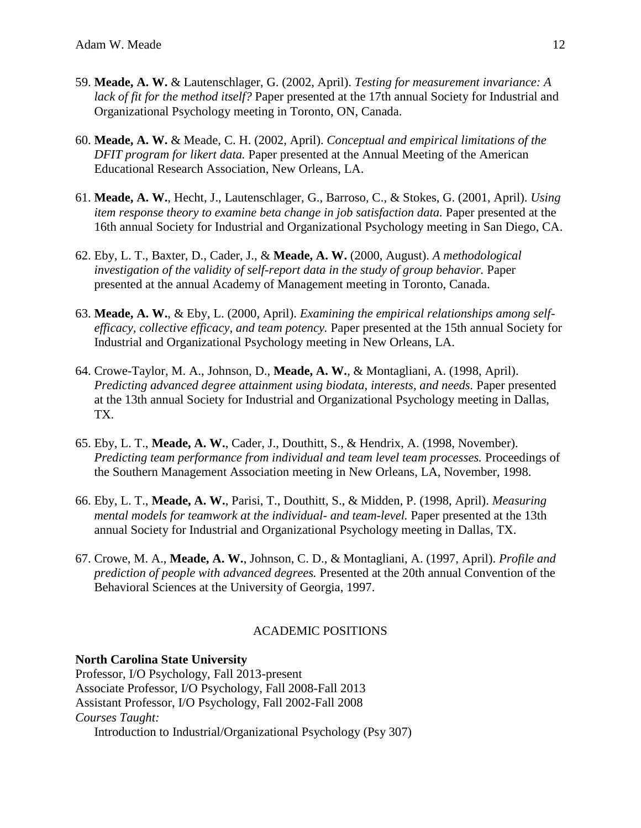- 59. **Meade, A. W.** & Lautenschlager, G. (2002, April). *Testing for measurement invariance: A lack of fit for the method itself?* Paper presented at the 17th annual Society for Industrial and Organizational Psychology meeting in Toronto, ON, Canada.
- 60. **Meade, A. W.** & Meade, C. H. (2002, April). *Conceptual and empirical limitations of the DFIT program for likert data.* Paper presented at the Annual Meeting of the American Educational Research Association, New Orleans, LA.
- 61. **Meade, A. W.**, Hecht, J., Lautenschlager, G., Barroso, C., & Stokes, G. (2001, April). *Using item response theory to examine beta change in job satisfaction data.* Paper presented at the 16th annual Society for Industrial and Organizational Psychology meeting in San Diego, CA.
- 62. Eby, L. T., Baxter, D., Cader, J., & **Meade, A. W.** (2000, August). *A methodological investigation of the validity of self-report data in the study of group behavior.* Paper presented at the annual Academy of Management meeting in Toronto, Canada.
- 63. **Meade, A. W.**, & Eby, L. (2000, April). *Examining the empirical relationships among selfefficacy, collective efficacy, and team potency.* Paper presented at the 15th annual Society for Industrial and Organizational Psychology meeting in New Orleans, LA.
- 64. Crowe-Taylor, M. A., Johnson, D., **Meade, A. W.**, & Montagliani, A. (1998, April). *Predicting advanced degree attainment using biodata, interests, and needs.* Paper presented at the 13th annual Society for Industrial and Organizational Psychology meeting in Dallas, TX.
- 65. Eby, L. T., **Meade, A. W.**, Cader, J., Douthitt, S., & Hendrix, A. (1998, November). *Predicting team performance from individual and team level team processes.* Proceedings of the Southern Management Association meeting in New Orleans, LA, November, 1998.
- 66. Eby, L. T., **Meade, A. W.**, Parisi, T., Douthitt, S., & Midden, P. (1998, April). *Measuring mental models for teamwork at the individual- and team-level.* Paper presented at the 13th annual Society for Industrial and Organizational Psychology meeting in Dallas, TX.
- 67. Crowe, M. A., **Meade, A. W.**, Johnson, C. D., & Montagliani, A. (1997, April). *Profile and prediction of people with advanced degrees.* Presented at the 20th annual Convention of the Behavioral Sciences at the University of Georgia, 1997.

## ACADEMIC POSITIONS

## **North Carolina State University**

Professor, I/O Psychology, Fall 2013-present Associate Professor, I/O Psychology, Fall 2008-Fall 2013 Assistant Professor, I/O Psychology, Fall 2002-Fall 2008 *Courses Taught:* Introduction to Industrial/Organizational Psychology (Psy 307)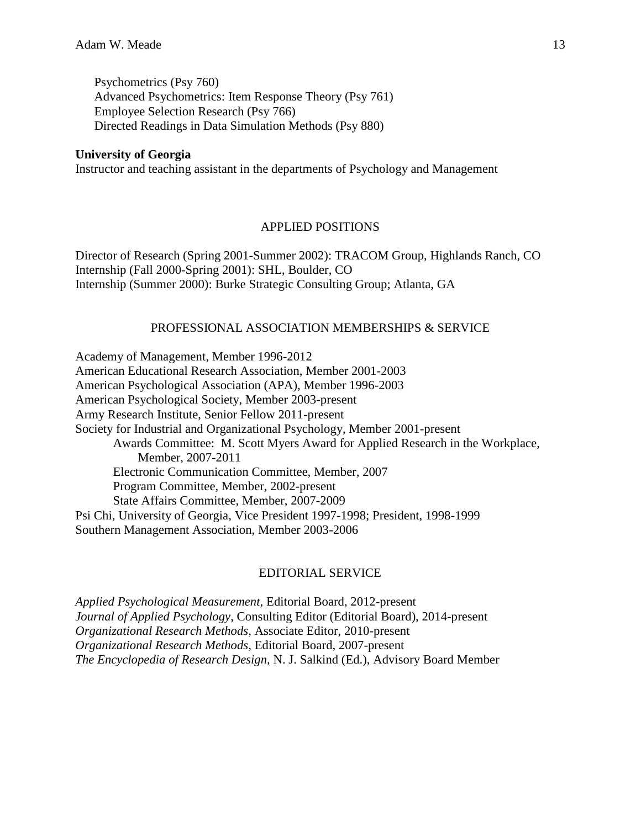Psychometrics (Psy 760) Advanced Psychometrics: Item Response Theory (Psy 761) Employee Selection Research (Psy 766) Directed Readings in Data Simulation Methods (Psy 880)

### **University of Georgia**

Instructor and teaching assistant in the departments of Psychology and Management

## APPLIED POSITIONS

Director of Research (Spring 2001-Summer 2002): TRACOM Group, Highlands Ranch, CO Internship (Fall 2000-Spring 2001): SHL, Boulder, CO Internship (Summer 2000): Burke Strategic Consulting Group; Atlanta, GA

## PROFESSIONAL ASSOCIATION MEMBERSHIPS & SERVICE

Academy of Management, Member 1996-2012 American Educational Research Association, Member 2001-2003 American Psychological Association (APA), Member 1996-2003 American Psychological Society, Member 2003-present Army Research Institute, Senior Fellow 2011-present Society for Industrial and Organizational Psychology, Member 2001-present Awards Committee: M. Scott Myers Award for Applied Research in the Workplace, Member, 2007-2011 Electronic Communication Committee, Member, 2007 Program Committee, Member, 2002-present State Affairs Committee, Member, 2007-2009 Psi Chi, University of Georgia, Vice President 1997-1998; President, 1998-1999 Southern Management Association, Member 2003-2006

#### EDITORIAL SERVICE

*Applied Psychological Measurement,* Editorial Board, 2012-present *Journal of Applied Psychology*, Consulting Editor (Editorial Board), 2014-present *Organizational Research Methods,* Associate Editor, 2010-present *Organizational Research Methods,* Editorial Board, 2007-present *The Encyclopedia of Research Design,* N. J. Salkind (Ed.), Advisory Board Member